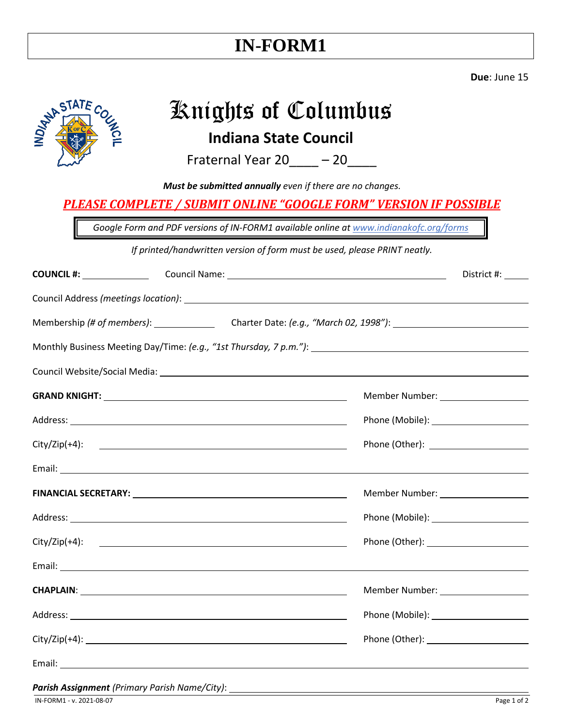## **IN-FORM1**

**Due**: June 15

| <u> Rnights of Columbus</u><br>INDIAN A<br>Indiana State Council<br>Fraternal Year $20 - 20$                                                                                                                                         |                                                                                                                                                                                                                                |
|--------------------------------------------------------------------------------------------------------------------------------------------------------------------------------------------------------------------------------------|--------------------------------------------------------------------------------------------------------------------------------------------------------------------------------------------------------------------------------|
| Must be submitted annually even if there are no changes.                                                                                                                                                                             |                                                                                                                                                                                                                                |
| <b>PLEASE COMPLETE / SUBMIT ONLINE "GOOGLE FORM" VERSION IF POSSIBLE</b><br>Google Form and PDF versions of IN-FORM1 available online at www.indianakofc.org/forms                                                                   |                                                                                                                                                                                                                                |
| If printed/handwritten version of form must be used, please PRINT neatly.                                                                                                                                                            |                                                                                                                                                                                                                                |
|                                                                                                                                                                                                                                      | District #: _____                                                                                                                                                                                                              |
| Membership (# of members): _____________________Charter Date: (e.g., "March 02, 1998"): _____________________                                                                                                                        |                                                                                                                                                                                                                                |
|                                                                                                                                                                                                                                      |                                                                                                                                                                                                                                |
|                                                                                                                                                                                                                                      |                                                                                                                                                                                                                                |
|                                                                                                                                                                                                                                      |                                                                                                                                                                                                                                |
| Email: <u>Andreas and the second contract of the second contract of the second contract of the second contract of the second contract of the second contract of the second contract of the second contract of the second contrac</u> |                                                                                                                                                                                                                                |
|                                                                                                                                                                                                                                      |                                                                                                                                                                                                                                |
|                                                                                                                                                                                                                                      | Phone (Mobile): The contract of the contract of the contract of the contract of the contract of the contract of the contract of the contract of the contract of the contract of the contract of the contract of the contract o |
|                                                                                                                                                                                                                                      |                                                                                                                                                                                                                                |
|                                                                                                                                                                                                                                      |                                                                                                                                                                                                                                |
|                                                                                                                                                                                                                                      |                                                                                                                                                                                                                                |
|                                                                                                                                                                                                                                      |                                                                                                                                                                                                                                |
|                                                                                                                                                                                                                                      |                                                                                                                                                                                                                                |
|                                                                                                                                                                                                                                      |                                                                                                                                                                                                                                |

| Parish Assignment (Primary Parish Name/City): |  |  |  |  |  |
|-----------------------------------------------|--|--|--|--|--|
|-----------------------------------------------|--|--|--|--|--|